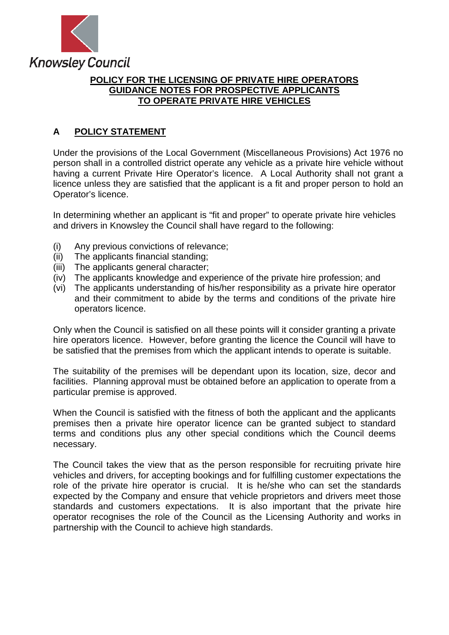

# **POLICY FOR THE LICENSING OF PRIVATE HIRE OPERATORS GUIDANCE NOTES FOR PROSPECTIVE APPLICANTS TO OPERATE PRIVATE HIRE VEHICLES**

# **A POLICY STATEMENT**

Under the provisions of the Local Government (Miscellaneous Provisions) Act 1976 no person shall in a controlled district operate any vehicle as a private hire vehicle without having a current Private Hire Operator's licence. A Local Authority shall not grant a licence unless they are satisfied that the applicant is a fit and proper person to hold an Operator's licence.

In determining whether an applicant is "fit and proper" to operate private hire vehicles and drivers in Knowsley the Council shall have regard to the following:

- (i) Any previous convictions of relevance;
- (ii) The applicants financial standing;
- (iii) The applicants general character;
- (iv) The applicants knowledge and experience of the private hire profession; and
- (vi) The applicants understanding of his/her responsibility as a private hire operator and their commitment to abide by the terms and conditions of the private hire operators licence.

Only when the Council is satisfied on all these points will it consider granting a private hire operators licence. However, before granting the licence the Council will have to be satisfied that the premises from which the applicant intends to operate is suitable.

The suitability of the premises will be dependant upon its location, size, decor and facilities. Planning approval must be obtained before an application to operate from a particular premise is approved.

When the Council is satisfied with the fitness of both the applicant and the applicants premises then a private hire operator licence can be granted subject to standard terms and conditions plus any other special conditions which the Council deems necessary.

The Council takes the view that as the person responsible for recruiting private hire vehicles and drivers, for accepting bookings and for fulfilling customer expectations the role of the private hire operator is crucial. It is he/she who can set the standards expected by the Company and ensure that vehicle proprietors and drivers meet those standards and customers expectations. It is also important that the private hire operator recognises the role of the Council as the Licensing Authority and works in partnership with the Council to achieve high standards.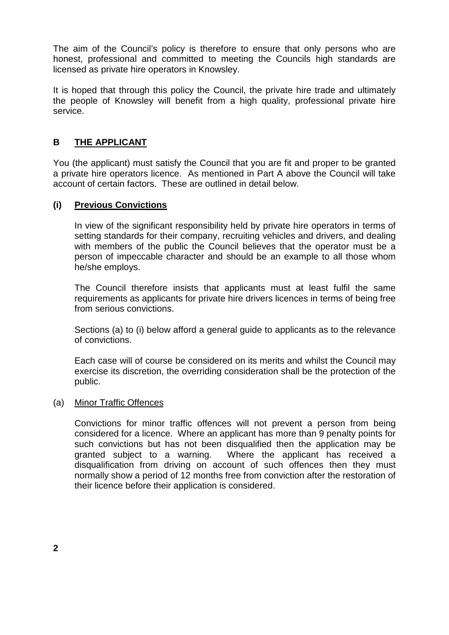The aim of the Council's policy is therefore to ensure that only persons who are honest, professional and committed to meeting the Councils high standards are licensed as private hire operators in Knowsley.

It is hoped that through this policy the Council, the private hire trade and ultimately the people of Knowsley will benefit from a high quality, professional private hire service.

# **B THE APPLICANT**

You (the applicant) must satisfy the Council that you are fit and proper to be granted a private hire operators licence. As mentioned in Part A above the Council will take account of certain factors. These are outlined in detail below.

## **(i) Previous Convictions**

In view of the significant responsibility held by private hire operators in terms of setting standards for their company, recruiting vehicles and drivers, and dealing with members of the public the Council believes that the operator must be a person of impeccable character and should be an example to all those whom he/she employs.

The Council therefore insists that applicants must at least fulfil the same requirements as applicants for private hire drivers licences in terms of being free from serious convictions.

Sections (a) to (i) below afford a general guide to applicants as to the relevance of convictions.

Each case will of course be considered on its merits and whilst the Council may exercise its discretion, the overriding consideration shall be the protection of the public.

#### (a) Minor Traffic Offences

Convictions for minor traffic offences will not prevent a person from being considered for a licence. Where an applicant has more than 9 penalty points for such convictions but has not been disqualified then the application may be granted subject to a warning. Where the applicant has received a disqualification from driving on account of such offences then they must normally show a period of 12 months free from conviction after the restoration of their licence before their application is considered.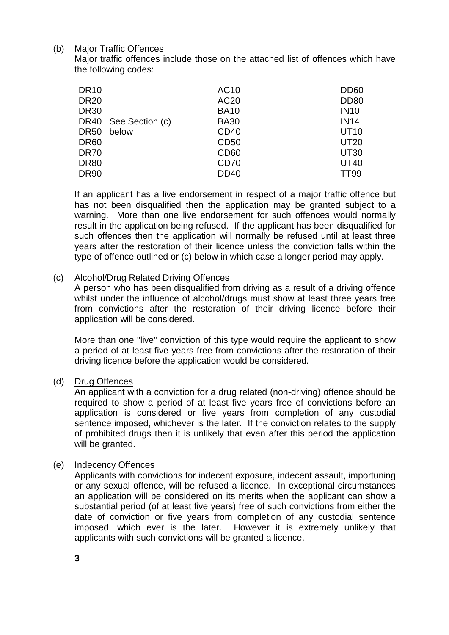## (b) Major Traffic Offences

Major traffic offences include those on the attached list of offences which have the following codes:

| <b>DR10</b> |                      | AC10             | <b>DD60</b> |
|-------------|----------------------|------------------|-------------|
| <b>DR20</b> |                      | AC <sub>20</sub> | <b>DD80</b> |
| <b>DR30</b> |                      | <b>BA10</b>      | <b>IN10</b> |
|             | DR40 See Section (c) | <b>BA30</b>      | <b>IN14</b> |
| DR50        | below                | CD40             | <b>UT10</b> |
| <b>DR60</b> |                      | CD50             | <b>UT20</b> |
| <b>DR70</b> |                      | CD <sub>60</sub> | <b>UT30</b> |
| <b>DR80</b> |                      | CD <sub>70</sub> | <b>UT40</b> |
| <b>DR90</b> |                      | <b>DD40</b>      | TT99        |
|             |                      |                  |             |

If an applicant has a live endorsement in respect of a major traffic offence but has not been disqualified then the application may be granted subject to a warning. More than one live endorsement for such offences would normally result in the application being refused. If the applicant has been disqualified for such offences then the application will normally be refused until at least three years after the restoration of their licence unless the conviction falls within the type of offence outlined or (c) below in which case a longer period may apply.

### (c) Alcohol/Drug Related Driving Offences

A person who has been disqualified from driving as a result of a driving offence whilst under the influence of alcohol/drugs must show at least three years free from convictions after the restoration of their driving licence before their application will be considered.

More than one "live" conviction of this type would require the applicant to show a period of at least five years free from convictions after the restoration of their driving licence before the application would be considered.

### (d) Drug Offences

An applicant with a conviction for a drug related (non-driving) offence should be required to show a period of at least five years free of convictions before an application is considered or five years from completion of any custodial sentence imposed, whichever is the later. If the conviction relates to the supply of prohibited drugs then it is unlikely that even after this period the application will be granted.

### (e) Indecency Offences

Applicants with convictions for indecent exposure, indecent assault, importuning or any sexual offence, will be refused a licence. In exceptional circumstances an application will be considered on its merits when the applicant can show a substantial period (of at least five years) free of such convictions from either the date of conviction or five years from completion of any custodial sentence imposed, which ever is the later. However it is extremely unlikely that applicants with such convictions will be granted a licence.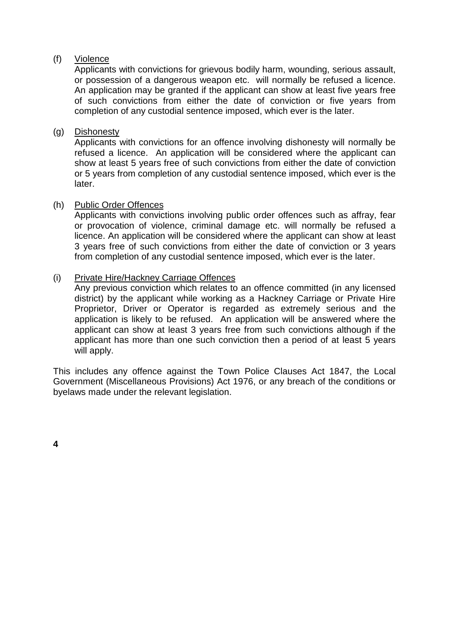### (f) Violence

Applicants with convictions for grievous bodily harm, wounding, serious assault, or possession of a dangerous weapon etc. will normally be refused a licence. An application may be granted if the applicant can show at least five years free of such convictions from either the date of conviction or five years from completion of any custodial sentence imposed, which ever is the later.

### (g) Dishonesty

Applicants with convictions for an offence involving dishonesty will normally be refused a licence. An application will be considered where the applicant can show at least 5 years free of such convictions from either the date of conviction or 5 years from completion of any custodial sentence imposed, which ever is the later.

#### (h) Public Order Offences

Applicants with convictions involving public order offences such as affray, fear or provocation of violence, criminal damage etc. will normally be refused a licence. An application will be considered where the applicant can show at least 3 years free of such convictions from either the date of conviction or 3 years from completion of any custodial sentence imposed, which ever is the later.

### (i) Private Hire/Hackney Carriage Offences

Any previous conviction which relates to an offence committed (in any licensed district) by the applicant while working as a Hackney Carriage or Private Hire Proprietor, Driver or Operator is regarded as extremely serious and the application is likely to be refused. An application will be answered where the applicant can show at least 3 years free from such convictions although if the applicant has more than one such conviction then a period of at least 5 years will apply.

This includes any offence against the Town Police Clauses Act 1847, the Local Government (Miscellaneous Provisions) Act 1976, or any breach of the conditions or byelaws made under the relevant legislation.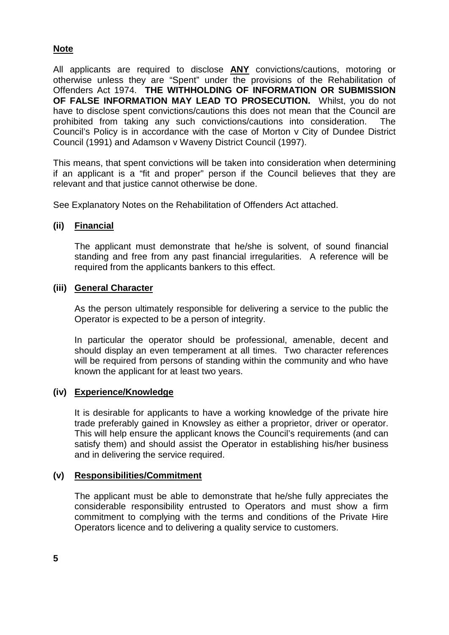# **Note**

All applicants are required to disclose **ANY** convictions/cautions, motoring or otherwise unless they are "Spent" under the provisions of the Rehabilitation of Offenders Act 1974. **THE WITHHOLDING OF INFORMATION OR SUBMISSION OF FALSE INFORMATION MAY LEAD TO PROSECUTION.** Whilst, you do not have to disclose spent convictions/cautions this does not mean that the Council are prohibited from taking any such convictions/cautions into consideration. The Council's Policy is in accordance with the case of Morton v City of Dundee District Council (1991) and Adamson v Waveny District Council (1997).

This means, that spent convictions will be taken into consideration when determining if an applicant is a "fit and proper" person if the Council believes that they are relevant and that justice cannot otherwise be done.

See Explanatory Notes on the Rehabilitation of Offenders Act attached.

### **(ii) Financial**

The applicant must demonstrate that he/she is solvent, of sound financial standing and free from any past financial irregularities. A reference will be required from the applicants bankers to this effect.

#### **(iii) General Character**

As the person ultimately responsible for delivering a service to the public the Operator is expected to be a person of integrity.

In particular the operator should be professional, amenable, decent and should display an even temperament at all times. Two character references will be required from persons of standing within the community and who have known the applicant for at least two years.

### **(iv) Experience/Knowledge**

It is desirable for applicants to have a working knowledge of the private hire trade preferably gained in Knowsley as either a proprietor, driver or operator. This will help ensure the applicant knows the Council's requirements (and can satisfy them) and should assist the Operator in establishing his/her business and in delivering the service required.

### **(v) Responsibilities/Commitment**

The applicant must be able to demonstrate that he/she fully appreciates the considerable responsibility entrusted to Operators and must show a firm commitment to complying with the terms and conditions of the Private Hire Operators licence and to delivering a quality service to customers.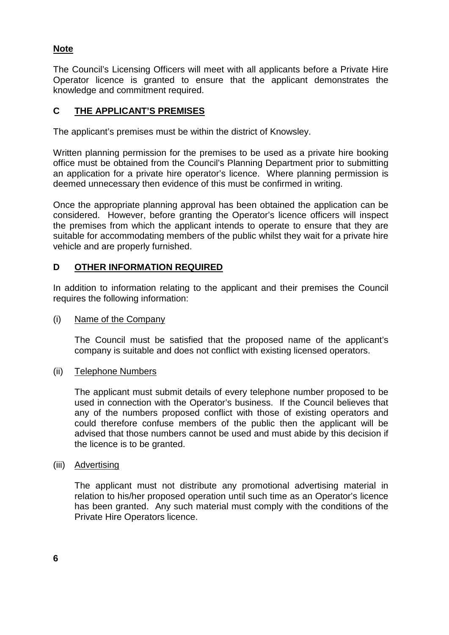# **Note**

The Council's Licensing Officers will meet with all applicants before a Private Hire Operator licence is granted to ensure that the applicant demonstrates the knowledge and commitment required.

# **C THE APPLICANT'S PREMISES**

The applicant's premises must be within the district of Knowsley.

Written planning permission for the premises to be used as a private hire booking office must be obtained from the Council's Planning Department prior to submitting an application for a private hire operator's licence. Where planning permission is deemed unnecessary then evidence of this must be confirmed in writing.

Once the appropriate planning approval has been obtained the application can be considered. However, before granting the Operator's licence officers will inspect the premises from which the applicant intends to operate to ensure that they are suitable for accommodating members of the public whilst they wait for a private hire vehicle and are properly furnished.

## **D OTHER INFORMATION REQUIRED**

In addition to information relating to the applicant and their premises the Council requires the following information:

#### (i) Name of the Company

The Council must be satisfied that the proposed name of the applicant's company is suitable and does not conflict with existing licensed operators.

#### (ii) Telephone Numbers

The applicant must submit details of every telephone number proposed to be used in connection with the Operator's business. If the Council believes that any of the numbers proposed conflict with those of existing operators and could therefore confuse members of the public then the applicant will be advised that those numbers cannot be used and must abide by this decision if the licence is to be granted.

#### (iii) Advertising

The applicant must not distribute any promotional advertising material in relation to his/her proposed operation until such time as an Operator's licence has been granted. Any such material must comply with the conditions of the Private Hire Operators licence.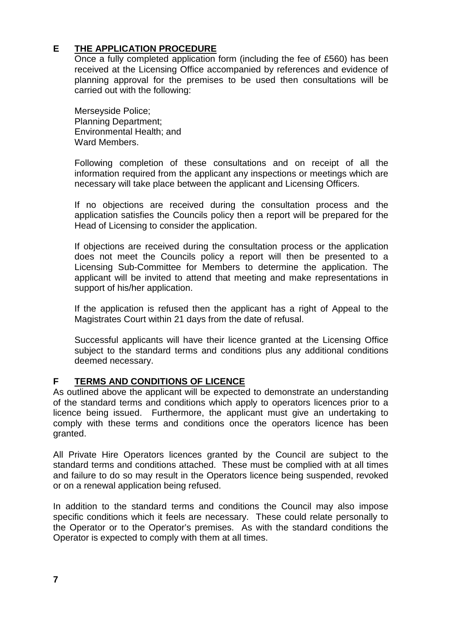# **E THE APPLICATION PROCEDURE**

Once a fully completed application form (including the fee of £560) has been received at the Licensing Office accompanied by references and evidence of planning approval for the premises to be used then consultations will be carried out with the following:

Merseyside Police; Planning Department; Environmental Health; and Ward Members.

Following completion of these consultations and on receipt of all the information required from the applicant any inspections or meetings which are necessary will take place between the applicant and Licensing Officers.

If no objections are received during the consultation process and the application satisfies the Councils policy then a report will be prepared for the Head of Licensing to consider the application.

If objections are received during the consultation process or the application does not meet the Councils policy a report will then be presented to a Licensing Sub-Committee for Members to determine the application. The applicant will be invited to attend that meeting and make representations in support of his/her application.

If the application is refused then the applicant has a right of Appeal to the Magistrates Court within 21 days from the date of refusal.

Successful applicants will have their licence granted at the Licensing Office subject to the standard terms and conditions plus any additional conditions deemed necessary.

# **F TERMS AND CONDITIONS OF LICENCE**

As outlined above the applicant will be expected to demonstrate an understanding of the standard terms and conditions which apply to operators licences prior to a licence being issued. Furthermore, the applicant must give an undertaking to comply with these terms and conditions once the operators licence has been granted.

All Private Hire Operators licences granted by the Council are subject to the standard terms and conditions attached. These must be complied with at all times and failure to do so may result in the Operators licence being suspended, revoked or on a renewal application being refused.

In addition to the standard terms and conditions the Council may also impose specific conditions which it feels are necessary. These could relate personally to the Operator or to the Operator's premises. As with the standard conditions the Operator is expected to comply with them at all times.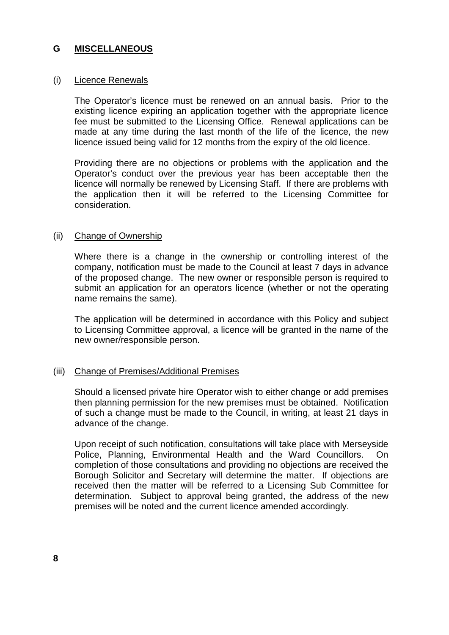## **G MISCELLANEOUS**

#### (i) Licence Renewals

The Operator's licence must be renewed on an annual basis. Prior to the existing licence expiring an application together with the appropriate licence fee must be submitted to the Licensing Office. Renewal applications can be made at any time during the last month of the life of the licence, the new licence issued being valid for 12 months from the expiry of the old licence.

Providing there are no objections or problems with the application and the Operator's conduct over the previous year has been acceptable then the licence will normally be renewed by Licensing Staff. If there are problems with the application then it will be referred to the Licensing Committee for consideration.

#### (ii) Change of Ownership

Where there is a change in the ownership or controlling interest of the company, notification must be made to the Council at least 7 days in advance of the proposed change. The new owner or responsible person is required to submit an application for an operators licence (whether or not the operating name remains the same).

The application will be determined in accordance with this Policy and subject to Licensing Committee approval, a licence will be granted in the name of the new owner/responsible person.

#### (iii) Change of Premises/Additional Premises

Should a licensed private hire Operator wish to either change or add premises then planning permission for the new premises must be obtained. Notification of such a change must be made to the Council, in writing, at least 21 days in advance of the change.

Upon receipt of such notification, consultations will take place with Merseyside Police, Planning, Environmental Health and the Ward Councillors. On completion of those consultations and providing no objections are received the Borough Solicitor and Secretary will determine the matter. If objections are received then the matter will be referred to a Licensing Sub Committee for determination. Subject to approval being granted, the address of the new premises will be noted and the current licence amended accordingly.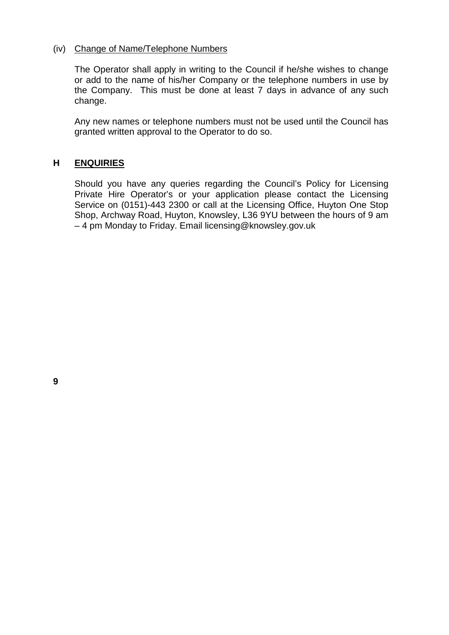### (iv) Change of Name/Telephone Numbers

The Operator shall apply in writing to the Council if he/she wishes to change or add to the name of his/her Company or the telephone numbers in use by the Company. This must be done at least 7 days in advance of any such change.

Any new names or telephone numbers must not be used until the Council has granted written approval to the Operator to do so.

# **H ENQUIRIES**

Should you have any queries regarding the Council's Policy for Licensing Private Hire Operator's or your application please contact the Licensing Service on (0151)-443 2300 or call at the Licensing Office, Huyton One Stop Shop, Archway Road, Huyton, Knowsley, L36 9YU between the hours of 9 am – 4 pm Monday to Friday. Email licensing@knowsley.gov.uk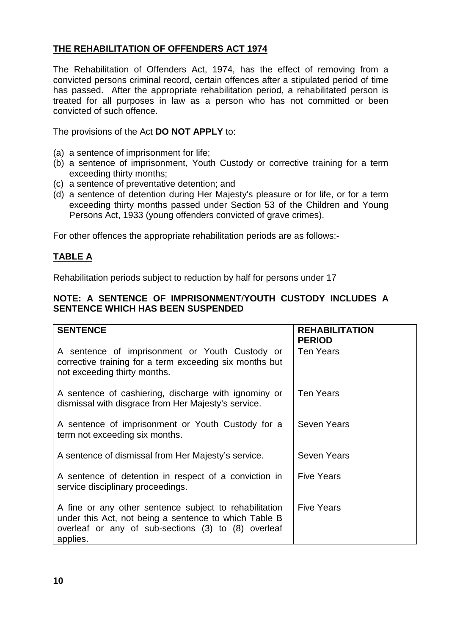# **THE REHABILITATION OF OFFENDERS ACT 1974**

The Rehabilitation of Offenders Act, 1974, has the effect of removing from a convicted persons criminal record, certain offences after a stipulated period of time has passed. After the appropriate rehabilitation period, a rehabilitated person is treated for all purposes in law as a person who has not committed or been convicted of such offence.

The provisions of the Act **DO NOT APPLY** to:

- (a) a sentence of imprisonment for life;
- (b) a sentence of imprisonment, Youth Custody or corrective training for a term exceeding thirty months;
- (c) a sentence of preventative detention; and
- (d) a sentence of detention during Her Majesty's pleasure or for life, or for a term exceeding thirty months passed under Section 53 of the Children and Young Persons Act, 1933 (young offenders convicted of grave crimes).

For other offences the appropriate rehabilitation periods are as follows:-

# **TABLE A**

Rehabilitation periods subject to reduction by half for persons under 17

# **NOTE: A SENTENCE OF IMPRISONMENT**/**YOUTH CUSTODY INCLUDES A SENTENCE WHICH HAS BEEN SUSPENDED**

| <b>SENTENCE</b>                                                                                                                                                                    | <b>REHABILITATION</b><br><b>PERIOD</b> |
|------------------------------------------------------------------------------------------------------------------------------------------------------------------------------------|----------------------------------------|
| A sentence of imprisonment or Youth Custody or<br>corrective training for a term exceeding six months but<br>not exceeding thirty months.                                          | <b>Ten Years</b>                       |
| A sentence of cashiering, discharge with ignominy or<br>dismissal with disgrace from Her Majesty's service.                                                                        | <b>Ten Years</b>                       |
| A sentence of imprisonment or Youth Custody for a<br>term not exceeding six months.                                                                                                | Seven Years                            |
| A sentence of dismissal from Her Majesty's service.                                                                                                                                | <b>Seven Years</b>                     |
| A sentence of detention in respect of a conviction in<br>service disciplinary proceedings.                                                                                         | <b>Five Years</b>                      |
| A fine or any other sentence subject to rehabilitation<br>under this Act, not being a sentence to which Table B<br>overleaf or any of sub-sections (3) to (8) overleaf<br>applies. | <b>Five Years</b>                      |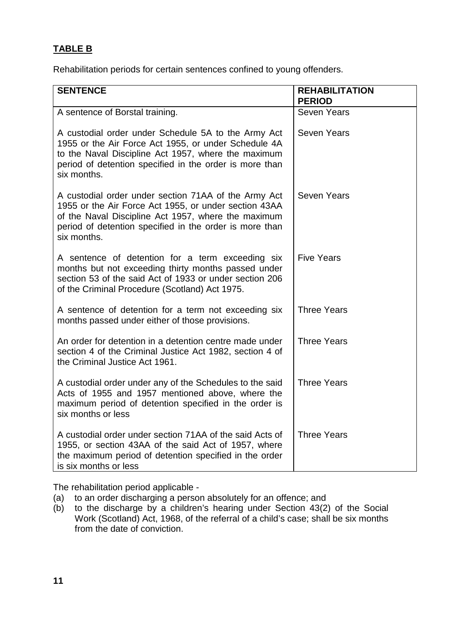# **TABLE B**

Rehabilitation periods for certain sentences confined to young offenders.

| <b>SENTENCE</b>                                                                                                                                                                                                                                | <b>REHABILITATION</b><br><b>PERIOD</b> |
|------------------------------------------------------------------------------------------------------------------------------------------------------------------------------------------------------------------------------------------------|----------------------------------------|
| A sentence of Borstal training.                                                                                                                                                                                                                | <b>Seven Years</b>                     |
| A custodial order under Schedule 5A to the Army Act<br>1955 or the Air Force Act 1955, or under Schedule 4A<br>to the Naval Discipline Act 1957, where the maximum<br>period of detention specified in the order is more than<br>six months.   | <b>Seven Years</b>                     |
| A custodial order under section 71AA of the Army Act<br>1955 or the Air Force Act 1955, or under section 43AA<br>of the Naval Discipline Act 1957, where the maximum<br>period of detention specified in the order is more than<br>six months. | <b>Seven Years</b>                     |
| A sentence of detention for a term exceeding six<br>months but not exceeding thirty months passed under<br>section 53 of the said Act of 1933 or under section 206<br>of the Criminal Procedure (Scotland) Act 1975.                           | <b>Five Years</b>                      |
| A sentence of detention for a term not exceeding six<br>months passed under either of those provisions.                                                                                                                                        | <b>Three Years</b>                     |
| An order for detention in a detention centre made under<br>section 4 of the Criminal Justice Act 1982, section 4 of<br>the Criminal Justice Act 1961.                                                                                          | <b>Three Years</b>                     |
| A custodial order under any of the Schedules to the said<br>Acts of 1955 and 1957 mentioned above, where the<br>maximum period of detention specified in the order is<br>six months or less                                                    | <b>Three Years</b>                     |
| A custodial order under section 71AA of the said Acts of<br>1955, or section 43AA of the said Act of 1957, where<br>the maximum period of detention specified in the order<br>is six months or less                                            | <b>Three Years</b>                     |

The rehabilitation period applicable -

- (a) to an order discharging a person absolutely for an offence; and
- (b) to the discharge by a children's hearing under Section 43(2) of the Social Work (Scotland) Act, 1968, of the referral of a child's case; shall be six months from the date of conviction.